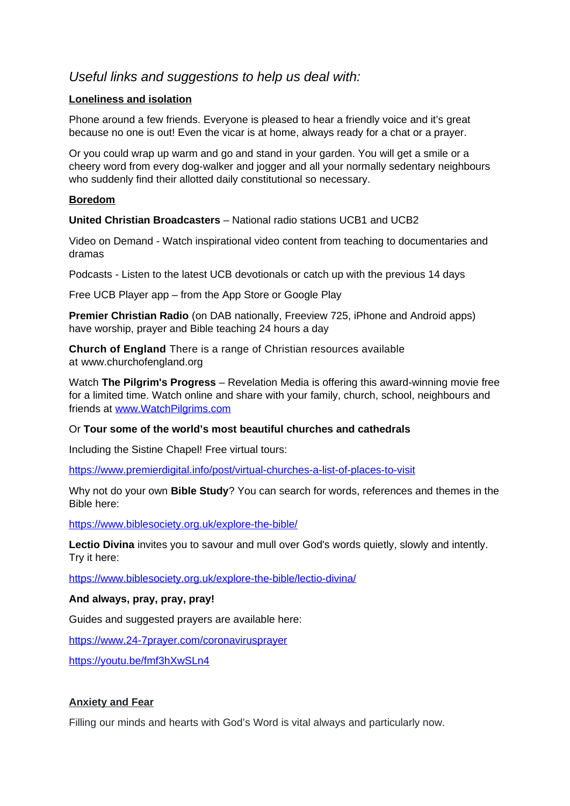# *Useful links and suggestions to help us deal with:*

# **Loneliness and isolation**

Phone around a few friends. Everyone is pleased to hear a friendly voice and it's great because no one is out! Even the vicar is at home, always ready for a chat or a prayer.

Or you could wrap up warm and go and stand in your garden. You will get a smile or a cheery word from every dog-walker and jogger and all your normally sedentary neighbours who suddenly find their allotted daily constitutional so necessary.

# **Boredom**

**United Christian Broadcasters** – National radio stations UCB1 and UCB2

Video on Demand - Watch inspirational video content from teaching to documentaries and dramas

Podcasts - Listen to the latest UCB devotionals or catch up with the previous 14 days

Free UCB Player app – from the App Store or Google Play

**Premier Christian Radio** (on DAB nationally, Freeview 725, iPhone and Android apps) have worship, prayer and Bible teaching 24 hours a day

**Church of England** There is a range of Christian resources available at www.churchofengland.org

Watch **The Pilgrim's Progress** – Revelation Media is offering this award-winning movie free for a limited time. Watch online and share with your family, church, school, neighbours and friends at [www.WatchPilgrims.com](http://www.WatchPilgrims.com/)

# Or **Tour some of the world's most beautiful churches and cathedrals**

Including the Sistine Chapel! Free virtual tours:

<https://www.premierdigital.info/post/virtual-churches-a-list-of-places-to-visit>

Why not do your own **Bible Study**? You can search for words, references and themes in the Bible here:

<https://www.biblesociety.org.uk/explore-the-bible/>

**Lectio Divina** invites you to savour and mull over God's words quietly, slowly and intently. Try it here:

<https://www.biblesociety.org.uk/explore-the-bible/lectio-divina/>

# **And always, pray, pray, pray!**

Guides and suggested prayers are available here:

<https://www.24-7prayer.com/coronavirusprayer>

<https://youtu.be/fmf3hXwSLn4>

# **Anxiety and Fear**

Filling our minds and hearts with God's Word is vital always and particularly now.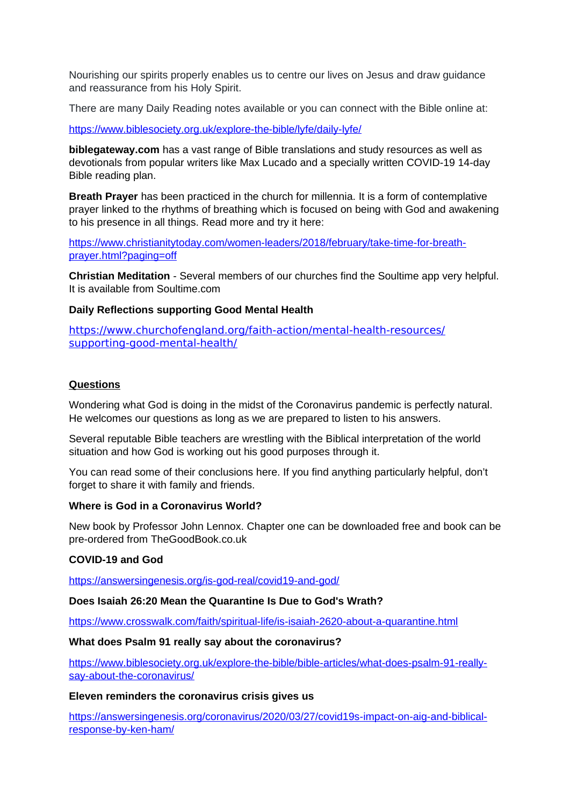Nourishing our spirits properly enables us to centre our lives on Jesus and draw guidance and reassurance from his Holy Spirit.

There are many Daily Reading notes available or you can connect with the Bible online at:

<https://www.biblesociety.org.uk/explore-the-bible/lyfe/daily-lyfe/>

**biblegateway.com** has a vast range of Bible translations and study resources as well as devotionals from popular writers like Max Lucado and a specially written COVID-19 14-day Bible reading plan.

**Breath Prayer** has been practiced in the church for millennia. It is a form of contemplative prayer linked to the rhythms of breathing which is focused on being with God and awakening to his presence in all things. Read more and try it here:

[https://www.christianitytoday.com/women-leaders/2018/february/take-time-for-breath](https://www.christianitytoday.com/women-leaders/2018/february/take-time-for-breath-prayer.html?paging=off)[prayer.html?paging=off](https://www.christianitytoday.com/women-leaders/2018/february/take-time-for-breath-prayer.html?paging=off)

**Christian Meditation** - Several members of our churches find the Soultime app very helpful. It is available from Soultime.com

## **Daily Reflections supporting Good Mental Health**

[https://www.churchofengland.org/faith-action/mental-health-resources/](https://www.churchofengland.org/faith-action/mental-health-resources/supporting-good-mental-health/) [supporting-good-mental-health/](https://www.churchofengland.org/faith-action/mental-health-resources/supporting-good-mental-health/)

## **Questions**

Wondering what God is doing in the midst of the Coronavirus pandemic is perfectly natural. He welcomes our questions as long as we are prepared to listen to his answers.

Several reputable Bible teachers are wrestling with the Biblical interpretation of the world situation and how God is working out his good purposes through it.

You can read some of their conclusions here. If you find anything particularly helpful, don't forget to share it with family and friends.

#### **Where is God in a Coronavirus World?**

New book by Professor John Lennox. Chapter one can be downloaded free and book can be pre-ordered from TheGoodBook.co.uk

# **COVID-19 and God**

<https://answersingenesis.org/is-god-real/covid19-and-god/>

#### **Does Isaiah 26:20 Mean the Quarantine Is Due to God's Wrath?**

<https://www.crosswalk.com/faith/spiritual-life/is-isaiah-2620-about-a-quarantine.html>

#### **What does Psalm 91 really say about the coronavirus?**

[https://www.biblesociety.org.uk/explore-the-bible/bible-articles/what-does-psalm-91-really](https://www.biblesociety.org.uk/explore-the-bible/bible-articles/what-does-psalm-91-really-say-about-the-coronavirus/)[say-about-the-coronavirus/](https://www.biblesociety.org.uk/explore-the-bible/bible-articles/what-does-psalm-91-really-say-about-the-coronavirus/)

#### **Eleven reminders the coronavirus crisis gives us**

[https://answersingenesis.org/coronavirus/2020/03/27/covid19s-impact-on-aig-and-biblical](https://answersingenesis.org/coronavirus/2020/03/27/covid19s-impact-on-aig-and-biblical-response-by-ken-ham/)[response-by-ken-ham/](https://answersingenesis.org/coronavirus/2020/03/27/covid19s-impact-on-aig-and-biblical-response-by-ken-ham/)